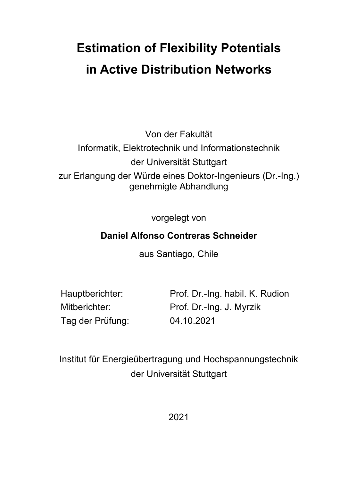# **Estimation of Flexibility Potentials in Active Distribution Networks**

Von der Fakultät Informatik, Elektrotechnik und Informationstechnik der Universität Stuttgart zur Erlangung der Würde eines Doktor-Ingenieurs (Dr.-Ing.) genehmigte Abhandlung

vorgelegt von

## **Daniel Alfonso Contreras Schneider**

aus Santiago, Chile

Tag der Prüfung: 04.10.2021

Hauptberichter: Prof. Dr.-Ing. habil. K. Rudion Mitberichter: Prof. Dr.-Ing. J. Myrzik

Institut für Energieübertragung und Hochspannungstechnik der Universität Stuttgart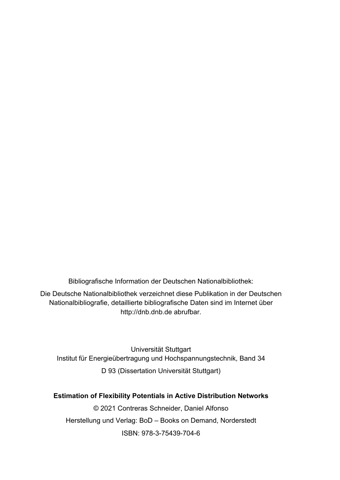Bibliografische Information der Deutschen Nationalbibliothek:

Die Deutsche Nationalbibliothek verzeichnet diese Publikation in der Deutschen Nationalbibliografie, detaillierte bibliografische Daten sind im Internet über http://dnb.dnb.de abrufbar.

Universität Stuttgart Institut für Energieübertragung und Hochspannungstechnik, Band 34 D 93 (Dissertation Universität Stuttgart)

#### **Estimation of Flexibility Potentials in Active Distribution Networks**

© 2021 Contreras Schneider, Daniel Alfonso Herstellung und Verlag: BoD – Books on Demand, Norderstedt ISBN: 978-3-75439-704-6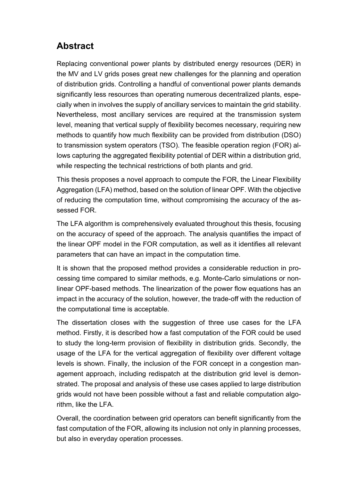#### **Abstract**

Replacing conventional power plants by distributed energy resources (DER) in the MV and LV grids poses great new challenges for the planning and operation of distribution grids. Controlling a handful of conventional power plants demands significantly less resources than operating numerous decentralized plants, especially when in involves the supply of ancillary services to maintain the grid stability. Nevertheless, most ancillary services are required at the transmission system level, meaning that vertical supply of flexibility becomes necessary, requiring new methods to quantify how much flexibility can be provided from distribution (DSO) to transmission system operators (TSO). The feasible operation region (FOR) allows capturing the aggregated flexibility potential of DER within a distribution grid, while respecting the technical restrictions of both plants and grid.

This thesis proposes a novel approach to compute the FOR, the Linear Flexibility Aggregation (LFA) method, based on the solution of linear OPF. With the objective of reducing the computation time, without compromising the accuracy of the assessed FOR.

The LFA algorithm is comprehensively evaluated throughout this thesis, focusing on the accuracy of speed of the approach. The analysis quantifies the impact of the linear OPF model in the FOR computation, as well as it identifies all relevant parameters that can have an impact in the computation time.

It is shown that the proposed method provides a considerable reduction in processing time compared to similar methods, e.g. Monte-Carlo simulations or nonlinear OPF-based methods. The linearization of the power flow equations has an impact in the accuracy of the solution, however, the trade-off with the reduction of the computational time is acceptable.

The dissertation closes with the suggestion of three use cases for the LFA method. Firstly, it is described how a fast computation of the FOR could be used to study the long-term provision of flexibility in distribution grids. Secondly, the usage of the LFA for the vertical aggregation of flexibility over different voltage levels is shown. Finally, the inclusion of the FOR concept in a congestion management approach, including redispatch at the distribution grid level is demonstrated. The proposal and analysis of these use cases applied to large distribution grids would not have been possible without a fast and reliable computation algorithm, like the LFA.

Overall, the coordination between grid operators can benefit significantly from the fast computation of the FOR, allowing its inclusion not only in planning processes, but also in everyday operation processes.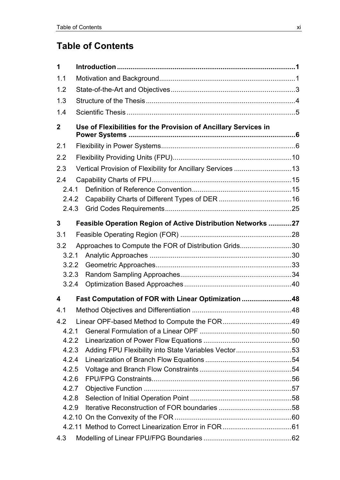### **Table of Contents**

| 1                |  |                                                                 |  |  |  |  |
|------------------|--|-----------------------------------------------------------------|--|--|--|--|
| 1.1              |  |                                                                 |  |  |  |  |
| 1.2              |  |                                                                 |  |  |  |  |
| 1.3              |  |                                                                 |  |  |  |  |
| 1.4              |  |                                                                 |  |  |  |  |
| $\overline{2}$   |  | Use of Flexibilities for the Provision of Ancillary Services in |  |  |  |  |
| 2.1              |  |                                                                 |  |  |  |  |
| 2.2              |  |                                                                 |  |  |  |  |
| 2.3              |  | Vertical Provision of Flexibility for Ancillary Services 13     |  |  |  |  |
| 2.4              |  |                                                                 |  |  |  |  |
| 2.4.1            |  |                                                                 |  |  |  |  |
| 2.4.2            |  |                                                                 |  |  |  |  |
| 2.4.3            |  |                                                                 |  |  |  |  |
| 3                |  | Feasible Operation Region of Active Distribution Networks 27    |  |  |  |  |
| 3.1              |  |                                                                 |  |  |  |  |
| 3.2              |  | Approaches to Compute the FOR of Distribution Grids30           |  |  |  |  |
| 3.2.1            |  |                                                                 |  |  |  |  |
| 3.2.2            |  |                                                                 |  |  |  |  |
| 3.2.3            |  |                                                                 |  |  |  |  |
| 3.2.4            |  |                                                                 |  |  |  |  |
| $\boldsymbol{4}$ |  | Fast Computation of FOR with Linear Optimization 48             |  |  |  |  |
| 4.1              |  |                                                                 |  |  |  |  |
| 4.2              |  |                                                                 |  |  |  |  |
| 4.2.1            |  |                                                                 |  |  |  |  |
| 4.2.2            |  |                                                                 |  |  |  |  |
| 4.2.3            |  | Adding FPU Flexibility into State Variables Vector53            |  |  |  |  |
| 4.2.4            |  |                                                                 |  |  |  |  |
| 4.2.5            |  |                                                                 |  |  |  |  |
| 4.2.6            |  |                                                                 |  |  |  |  |
| 4.2.7            |  |                                                                 |  |  |  |  |
| 4.2.8            |  |                                                                 |  |  |  |  |
| 4.2.9            |  |                                                                 |  |  |  |  |
|                  |  |                                                                 |  |  |  |  |
|                  |  |                                                                 |  |  |  |  |
| 4.3              |  |                                                                 |  |  |  |  |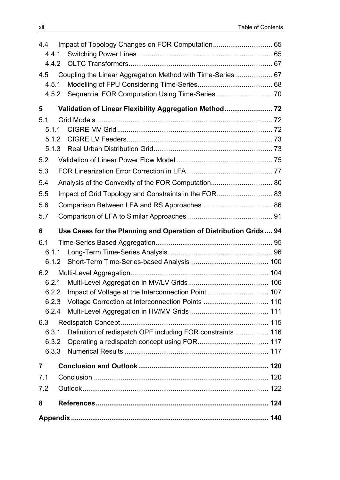| 4.4   |       | Impact of Topology Changes on FOR Computation 65                  |  |  |  |
|-------|-------|-------------------------------------------------------------------|--|--|--|
|       | 4.4.1 |                                                                   |  |  |  |
|       | 4.4.2 |                                                                   |  |  |  |
|       |       | 4.5 Coupling the Linear Aggregation Method with Time-Series  67   |  |  |  |
| 4.5.1 |       |                                                                   |  |  |  |
|       | 4.5.2 | Sequential FOR Computation Using Time-Series  70                  |  |  |  |
| 5     |       | Validation of Linear Flexibility Aggregation Method 72            |  |  |  |
| 5.1   |       |                                                                   |  |  |  |
| 5.1.1 |       |                                                                   |  |  |  |
| 5.1.2 |       |                                                                   |  |  |  |
| 5.1.3 |       |                                                                   |  |  |  |
| 5.2   |       |                                                                   |  |  |  |
| 5.3   |       |                                                                   |  |  |  |
| 5.4   |       | Analysis of the Convexity of the FOR Computation 80               |  |  |  |
| 5.5   |       | Impact of Grid Topology and Constraints in the FOR 83             |  |  |  |
| 5.6   |       |                                                                   |  |  |  |
| 5.7   |       |                                                                   |  |  |  |
| 6     |       | Use Cases for the Planning and Operation of Distribution Grids 94 |  |  |  |
| 6.1   |       |                                                                   |  |  |  |
| 6.1.1 |       |                                                                   |  |  |  |
|       | 6.1.2 |                                                                   |  |  |  |
|       |       |                                                                   |  |  |  |
| 6.2.1 |       |                                                                   |  |  |  |
| 6.2.2 |       | Impact of Voltage at the Interconnection Point 107                |  |  |  |
| 6.2.3 |       |                                                                   |  |  |  |
| 6.2.4 |       |                                                                   |  |  |  |
| 6.3   |       |                                                                   |  |  |  |
| 6.3.1 |       | Definition of redispatch OPF including FOR constraints 116        |  |  |  |
| 6.3.2 |       |                                                                   |  |  |  |
|       |       |                                                                   |  |  |  |
| 7     |       |                                                                   |  |  |  |
| 7.1   |       |                                                                   |  |  |  |
| 7.2   |       |                                                                   |  |  |  |
| 8     |       |                                                                   |  |  |  |
|       |       |                                                                   |  |  |  |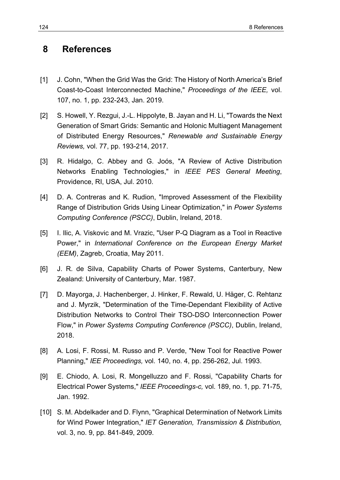#### **8 References**

- [1] J. Cohn, "When the Grid Was the Grid: The History of North America's Brief Coast-to-Coast Interconnected Machine," *Proceedings of the IEEE,* vol. 107, no. 1, pp. 232-243, Jan. 2019.
- [2] S. Howell, Y. Rezgui, J.-L. Hippolyte, B. Jayan and H. Li, "Towards the Next Generation of Smart Grids: Semantic and Holonic Multiagent Management of Distributed Energy Resources," *Renewable and Sustainable Energy Reviews,* vol. 77, pp. 193-214, 2017.
- [3] R. Hidalgo, C. Abbey and G. Joós, "A Review of Active Distribution Networks Enabling Technologies," in *IEEE PES General Meeting*, Providence, RI, USA, Jul. 2010.
- [4] D. A. Contreras and K. Rudion, "Improved Assessment of the Flexibility Range of Distribution Grids Using Linear Optimization," in *Power Systems Computing Conference (PSCC)*, Dublin, Ireland, 2018.
- [5] I. Ilic, A. Viskovic and M. Vrazic, "User P-Q Diagram as a Tool in Reactive Power," in *International Conference on the European Energy Market (EEM)*, Zagreb, Croatia, May 2011.
- [6] J. R. de Silva, Capability Charts of Power Systems, Canterbury, New Zealand: University of Canterbury, Mar. 1987.
- [7] D. Mayorga, J. Hachenberger, J. Hinker, F. Rewald, U. Häger, C. Rehtanz and J. Myrzik, "Determination of the Time-Dependant Flexibility of Active Distribution Networks to Control Their TSO-DSO Interconnection Power Flow," in *Power Systems Computing Conference (PSCC)*, Dublin, Ireland, 2018.
- [8] A. Losi, F. Rossi, M. Russo and P. Verde, "New Tool for Reactive Power Planning," *IEE Proceedings,* vol. 140, no. 4, pp. 256-262, Jul. 1993.
- [9] E. Chiodo, A. Losi, R. Mongelluzzo and F. Rossi, "Capability Charts for Electrical Power Systems," *IEEE Proceedings-c,* vol. 189, no. 1, pp. 71-75, Jan. 1992.
- [10] S. M. Abdelkader and D. Flynn, "Graphical Determination of Network Limits for Wind Power Integration," *IET Generation, Transmission & Distribution,*  vol. 3, no. 9, pp. 841-849, 2009.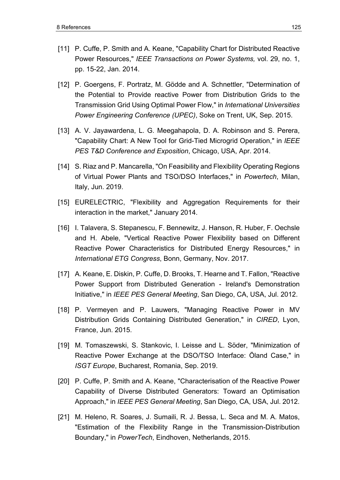- [11] P. Cuffe, P. Smith and A. Keane, "Capability Chart for Distributed Reactive Power Resources," *IEEE Transactions on Power Systems,* vol. 29, no. 1, pp. 15-22, Jan. 2014.
- [12] P. Goergens, F. Portratz, M. Gödde and A. Schnettler, "Determination of the Potential to Provide reactive Power from Distribution Grids to the Transmission Grid Using Optimal Power Flow," in *International Universities Power Engineering Conference (UPEC)*, Soke on Trent, UK, Sep. 2015.
- [13] A. V. Jayawardena, L. G. Meegahapola, D. A. Robinson and S. Perera, "Capability Chart: A New Tool for Grid-Tied Microgrid Operation," in *IEEE PES T&D Conference and Exposition*, Chicago, USA, Apr. 2014.
- [14] S. Riaz and P. Mancarella, "On Feasibility and Flexibility Operating Regions of Virtual Power Plants and TSO/DSO Interfaces," in *Powertech*, Milan, Italy, Jun. 2019.
- [15] EURELECTRIC, "Flexibility and Aggregation Requirements for their interaction in the market," January 2014.
- [16] I. Talavera, S. Stepanescu, F. Bennewitz, J. Hanson, R. Huber, F. Oechsle and H. Abele, "Vertical Reactive Power Flexibility based on Different Reactive Power Characteristics for Distributed Energy Resources," in *International ETG Congress*, Bonn, Germany, Nov. 2017.
- [17] A. Keane, E. Diskin, P. Cuffe, D. Brooks, T. Hearne and T. Fallon, "Reactive Power Support from Distributed Generation - Ireland's Demonstration Initiative," in *IEEE PES General Meeting*, San Diego, CA, USA, Jul. 2012.
- [18] P. Vermeyen and P. Lauwers, "Managing Reactive Power in MV Distribution Grids Containing Distributed Generation," in *CIRED*, Lyon, France, Jun. 2015.
- [19] M. Tomaszewski, S. Stankovic, I. Leisse and L. Söder, "Minimization of Reactive Power Exchange at the DSO/TSO Interface: Öland Case," in *ISGT Europe*, Bucharest, Romania, Sep. 2019.
- [20] P. Cuffe, P. Smith and A. Keane, "Characterisation of the Reactive Power Capability of Diverse Distributed Generators: Toward an Optimisation Approach," in *IEEE PES General Meeting*, San Diego, CA, USA, Jul. 2012.
- [21] M. Heleno, R. Soares, J. Sumaili, R. J. Bessa, L. Seca and M. A. Matos, "Estimation of the Flexibility Range in the Transmission-Distribution Boundary," in *PowerTech*, Eindhoven, Netherlands, 2015.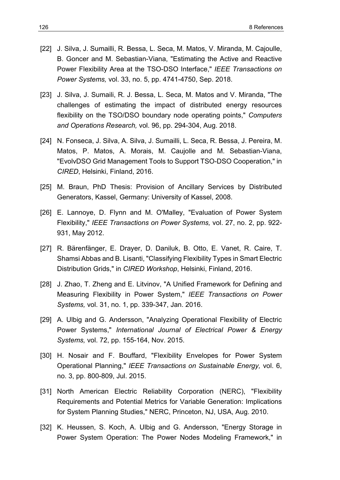- [22] J. Silva, J. Sumailli, R. Bessa, L. Seca, M. Matos, V. Miranda, M. Cajoulle, B. Goncer and M. Sebastian-Viana, "Estimating the Active and Reactive Power Flexibility Area at the TSO-DSO Interface," *IEEE Transactions on Power Systems,* vol. 33, no. 5, pp. 4741-4750, Sep. 2018.
- [23] J. Silva, J. Sumaili, R. J. Bessa, L. Seca, M. Matos and V. Miranda, "The challenges of estimating the impact of distributed energy resources flexibility on the TSO/DSO boundary node operating points," *Computers and Operations Research,* vol. 96, pp. 294-304, Aug. 2018.
- [24] N. Fonseca, J. Silva, A. Silva, J. Sumailli, L. Seca, R. Bessa, J. Pereira, M. Matos, P. Matos, A. Morais, M. Caujolle and M. Sebastian-Viana, "EvolvDSO Grid Management Tools to Support TSO-DSO Cooperation," in *CIRED*, Helsinki, Finland, 2016.
- [25] M. Braun, PhD Thesis: Provision of Ancillary Services by Distributed Generators, Kassel, Germany: University of Kassel, 2008.
- [26] E. Lannoye, D. Flynn and M. O'Malley, "Evaluation of Power System Flexibility," *IEEE Transactions on Power Systems,* vol. 27, no. 2, pp. 922- 931, May 2012.
- [27] R. Bärenfänger, E. Drayer, D. Daniluk, B. Otto, E. Vanet, R. Caire, T. Shamsi Abbas and B. Lisanti, "Classifying Flexibility Types in Smart Electric Distribution Grids," in *CIRED Workshop*, Helsinki, Finland, 2016.
- [28] J. Zhao, T. Zheng and E. Litvinov, "A Unified Framework for Defining and Measuring Flexibility in Power System," *IEEE Transactions on Power Systems,* vol. 31, no. 1, pp. 339-347, Jan. 2016.
- [29] A. Ulbig and G. Andersson, "Analyzing Operational Flexibility of Electric Power Systems," *International Journal of Electrical Power & Energy Systems,* vol. 72, pp. 155-164, Nov. 2015.
- [30] H. Nosair and F. Bouffard, "Flexibility Envelopes for Power System Operational Planning," *IEEE Transactions on Sustainable Energy,* vol. 6, no. 3, pp. 800-809, Jul. 2015.
- [31] North American Electric Reliability Corporation (NERC), "Flexibility Requirements and Potential Metrics for Variable Generation: Implications for System Planning Studies," NERC, Princeton, NJ, USA, Aug. 2010.
- [32] K. Heussen, S. Koch, A. Ulbig and G. Andersson, "Energy Storage in Power System Operation: The Power Nodes Modeling Framework," in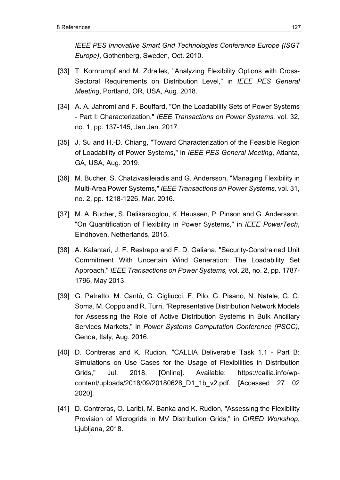*IEEE PES Innovative Smart Grid Technologies Conference Europe (ISGT Europe)*, Gothenberg, Sweden, Oct. 2010.

- [33] T. Kornrumpf and M. Zdrallek, "Analyzing Flexibility Options with Cross-Sectoral Requirements on Distribution Level," in *IEEE PES General Meeting*, Portland, OR, USA, Aug. 2018.
- [34] A. A. Jahromi and F. Bouffard, "On the Loadability Sets of Power Systems - Part I: Characterization," *IEEE Transactions on Power Systems,* vol. 32, no. 1, pp. 137-145, Jan Jan. 2017.
- [35] J. Su and H.-D. Chiang, "Toward Characterization of the Feasible Region of Loadability of Power Systems," in *IEEE PES General Meeting*, Atlanta, GA, USA, Aug. 2019.
- [36] M. Bucher, S. Chatzivasileiadis and G. Andersson, "Managing Flexibility in Multi-Area Power Systems," *IEEE Transactions on Power Systems,* vol. 31, no. 2, pp. 1218-1226, Mar. 2016.
- [37] M. A. Bucher, S. Delikaraoglou, K. Heussen, P. Pinson and G. Andersson, "On Quantification of Flexibility in Power Systems," in *IEEE PowerTech*, Eindhoven, Netherlands, 2015.
- [38] A. Kalantari, J. F. Restrepo and F. D. Galiana, "Security-Constrained Unit Commitment With Uncertain Wind Generation: The Loadability Set Approach," *IEEE Transactions on Power Systems,* vol. 28, no. 2, pp. 1787- 1796, May 2013.
- [39] G. Petretto, M. Cantú, G. Gigliucci, F. Pilo, G. Pisano, N. Natale, G. G. Soma, M. Coppo and R. Turri, "Representative Distribution Network Models for Assessing the Role of Active Distribution Systems in Bulk Ancillary Services Markets," in *Power Systems Computation Conference (PSCC)*, Genoa, Italy, Aug. 2016.
- [40] D. Contreras and K. Rudion, "CALLIA Deliverable Task 1.1 Part B: Simulations on Use Cases for the Usage of Flexibilities in Distribution Grids," Jul. 2018. [Online]. Available: https://callia.info/wpcontent/uploads/2018/09/20180628\_D1\_1b\_v2.pdf. [Accessed 27 02 2020].
- [41] D. Contreras, O. Laribi, M. Banka and K. Rudion, "Assessing the Flexibility Provision of Microgrids in MV Distribution Grids," in *CIRED Workshop*, Ljubljana, 2018.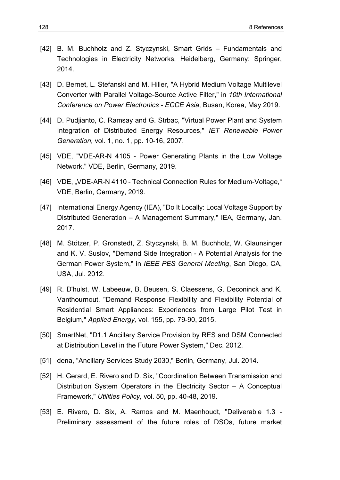- [42] B. M. Buchholz and Z. Styczynski, Smart Grids Fundamentals and Technologies in Electricity Networks, Heidelberg, Germany: Springer, 2014.
- [43] D. Bernet, L. Stefanski and M. Hiller, "A Hybrid Medium Voltage Multilevel Converter with Parallel Voltage-Source Active Filter," in *10th International Conference on Power Electronics - ECCE Asia*, Busan, Korea, May 2019.
- [44] D. Pudjianto, C. Ramsay and G. Strbac, "Virtual Power Plant and System Integration of Distributed Energy Resources," *IET Renewable Power Generation,* vol. 1, no. 1, pp. 10-16, 2007.
- [45] VDE, "VDE-AR-N 4105 Power Generating Plants in the Low Voltage Network," VDE, Berlin, Germany, 2019.
- [46] VDE, "VDE-AR-N 4110 Technical Connection Rules for Medium-Voltage," VDE, Berlin, Germany, 2019.
- [47] International Energy Agency (IEA), "Do It Locally: Local Voltage Support by Distributed Generation – A Management Summary," IEA, Germany, Jan. 2017.
- [48] M. Stötzer, P. Gronstedt, Z. Styczynski, B. M. Buchholz, W. Glaunsinger and K. V. Suslov, "Demand Side Integration - A Potential Analysis for the German Power System," in *IEEE PES General Meeting*, San Diego, CA, USA, Jul. 2012.
- [49] R. D'hulst, W. Labeeuw, B. Beusen, S. Claessens, G. Deconinck and K. Vanthournout, "Demand Response Flexibility and Flexibility Potential of Residential Smart Appliances: Experiences from Large Pilot Test in Belgium," *Applied Energy,* vol. 155, pp. 79-90, 2015.
- [50] SmartNet, "D1.1 Ancillary Service Provision by RES and DSM Connected at Distribution Level in the Future Power System," Dec. 2012.
- [51] dena, "Ancillary Services Study 2030," Berlin, Germany, Jul. 2014.
- [52] H. Gerard, E. Rivero and D. Six, "Coordination Between Transmission and Distribution System Operators in the Electricity Sector – A Conceptual Framework," *Utilities Policy,* vol. 50, pp. 40-48, 2019.
- [53] E. Rivero, D. Six, A. Ramos and M. Maenhoudt, "Deliverable 1.3 Preliminary assessment of the future roles of DSOs, future market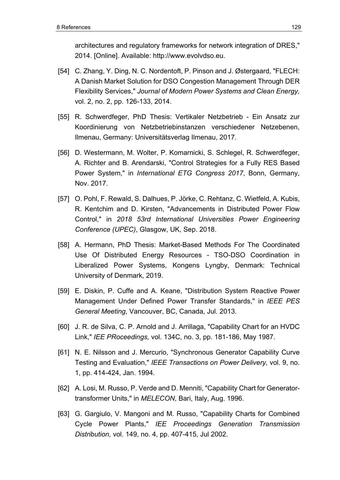architectures and regulatory frameworks for network integration of DRES," 2014. [Online]. Available: http://www.evolvdso.eu.

- [54] C. Zhang, Y. Ding, N. C. Nordentoft, P. Pinson and J. Østergaard, "FLECH: A Danish Market Solution for DSO Congestion Management Through DER Flexibility Services," *Journal of Modern Power Systems and Clean Energy,*  vol. 2, no. 2, pp. 126-133, 2014.
- [55] R. Schwerdfeger, PhD Thesis: Vertikaler Netzbetrieb Ein Ansatz zur Koordinierung von Netzbetriebinstanzen verschiedener Netzebenen, Ilmenau, Germany: Universitätsverlag Ilmenau, 2017.
- [56] D. Westermann, M. Wolter, P. Komarnicki, S. Schlegel, R. Schwerdfeger, A. Richter and B. Arendarski, "Control Strategies for a Fully RES Based Power System," in *International ETG Congress 2017*, Bonn, Germany, Nov. 2017.
- [57] O. Pohl, F. Rewald, S. Dalhues, P. Jörke, C. Rehtanz, C. Wietfeld, A. Kubis, R. Kentchim and D. Kirsten, "Advancements in Distributed Power Flow Control," in *2018 53rd International Universities Power Engineering Conference (UPEC)*, Glasgow, UK, Sep. 2018.
- [58] A. Hermann, PhD Thesis: Market-Based Methods For The Coordinated Use Of Distributed Energy Resources - TSO-DSO Coordination in Liberalized Power Systems, Kongens Lyngby, Denmark: Technical University of Denmark, 2019.
- [59] E. Diskin, P. Cuffe and A. Keane, "Distribution System Reactive Power Management Under Defined Power Transfer Standards," in *IEEE PES General Meeting*, Vancouver, BC, Canada, Jul. 2013.
- [60] J. R. de Silva, C. P. Arnold and J. Arrillaga, "Capability Chart for an HVDC Link," *IEE PRoceedings,* vol. 134C, no. 3, pp. 181-186, May 1987.
- [61] N. E. Nilsson and J. Mercurio, "Synchronous Generator Capability Curve Testing and Evaluation," *IEEE Transactions on Power Delivery,* vol. 9, no. 1, pp. 414-424, Jan. 1994.
- [62] A. Losi, M. Russo, P. Verde and D. Menniti, "Capability Chart for Generatortransformer Units," in *MELECON*, Bari, Italy, Aug. 1996.
- [63] G. Gargiulo, V. Mangoni and M. Russo, "Capability Charts for Combined Cycle Power Plants," *IEE Proceedings Generation Transmission Distribution,* vol. 149, no. 4, pp. 407-415, Jul 2002.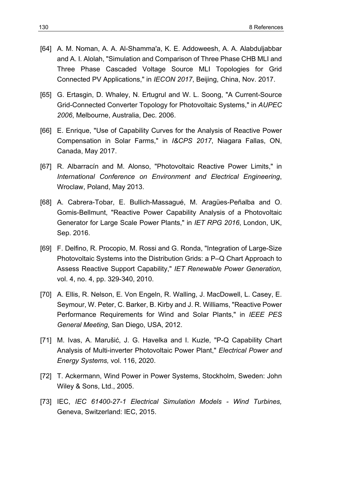- [64] A. M. Noman, A. A. Al-Shamma'a, K. E. Addoweesh, A. A. Alabduljabbar and A. I. Alolah, "Simulation and Comparison of Three Phase CHB MLI and Three Phase Cascaded Voltage Source MLI Topologies for Grid Connected PV Applications," in *IECON 2017*, Beijing, China, Nov. 2017.
- [65] G. Ertasgin, D. Whaley, N. Ertugrul and W. L. Soong, "A Current-Source Grid-Connected Converter Topology for Photovoltaic Systems," in *AUPEC 2006*, Melbourne, Australia, Dec. 2006.
- [66] E. Enrique, "Use of Capability Curves for the Analysis of Reactive Power Compensation in Solar Farms," in *I&CPS 2017*, Niagara Fallas, ON, Canada, May 2017.
- [67] R. Albarracín and M. Alonso, "Photovoltaic Reactive Power Limits," in *International Conference on Environment and Electrical Engineering*, Wroclaw, Poland, May 2013.
- [68] A. Cabrera-Tobar, E. Bullich-Massagué, M. Aragües-Peñalba and O. Gomis-Bellmunt, "Reactive Power Capability Analysis of a Photovoltaic Generator for Large Scale Power Plants," in *IET RPG 2016*, London, UK, Sep. 2016.
- [69] F. Delfino, R. Procopio, M. Rossi and G. Ronda, "Integration of Large-Size Photovoltaic Systems into the Distribution Grids: a P–Q Chart Approach to Assess Reactive Support Capability," *IET Renewable Power Generation,*  vol. 4, no. 4, pp. 329-340, 2010.
- [70] A. Ellis, R. Nelson, E. Von Engeln, R. Walling, J. MacDowell, L. Casey, E. Seymour, W. Peter, C. Barker, B. Kirby and J. R. Williams, "Reactive Power Performance Requirements for Wind and Solar Plants," in *IEEE PES General Meeting*, San Diego, USA, 2012.
- [71] M. Ivas, A. Marušić, J. G. Havelka and I. Kuzle, "P-Q Capability Chart Analysis of Multi-inverter Photovoltaic Power Plant," *Electrical Power and Energy Systems,* vol. 116, 2020.
- [72] T. Ackermann, Wind Power in Power Systems, Stockholm, Sweden: John Wiley & Sons, Ltd., 2005.
- [73] IEC, *IEC 61400-27-1 Electrical Simulation Models Wind Turbines,* Geneva, Switzerland: IEC, 2015.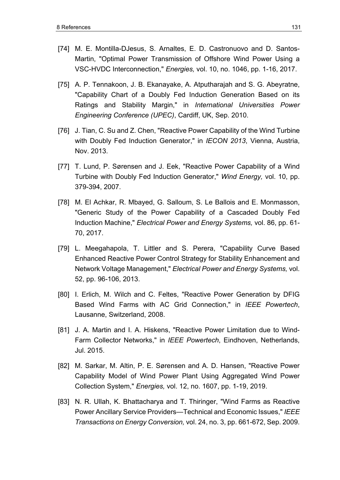- [74] M. E. Montilla-DJesus, S. Arnaltes, E. D. Castronuovo and D. Santos-Martin, "Optimal Power Transmission of Offshore Wind Power Using a VSC-HVDC Interconnection," *Energies,* vol. 10, no. 1046, pp. 1-16, 2017.
- [75] A. P. Tennakoon, J. B. Ekanayake, A. Atputharajah and S. G. Abeyratne, "Capability Chart of a Doubly Fed Induction Generation Based on its Ratings and Stability Margin," in *International Universities Power Engineering Conference (UPEC)*, Cardiff, UK, Sep. 2010.
- [76] J. Tian, C. Su and Z. Chen, "Reactive Power Capability of the Wind Turbine with Doubly Fed Induction Generator," in *IECON 2013*, Vienna, Austria, Nov. 2013.
- [77] T. Lund, P. Sørensen and J. Eek, "Reactive Power Capability of a Wind Turbine with Doubly Fed Induction Generator," *Wind Energy,* vol. 10, pp. 379-394, 2007.
- [78] M. El Achkar, R. Mbayed, G. Salloum, S. Le Ballois and E. Monmasson, "Generic Study of the Power Capability of a Cascaded Doubly Fed Induction Machine," *Electrical Power and Energy Systems,* vol. 86, pp. 61- 70, 2017.
- [79] L. Meegahapola, T. Littler and S. Perera, "Capability Curve Based Enhanced Reactive Power Control Strategy for Stability Enhancement and Network Voltage Management," *Electrical Power and Energy Systems,* vol. 52, pp. 96-106, 2013.
- [80] I. Erlich, M. Wilch and C. Feltes, "Reactive Power Generation by DFIG Based Wind Farms with AC Grid Connection," in *IEEE Powertech*, Lausanne, Switzerland, 2008.
- [81] J. A. Martin and I. A. Hiskens, "Reactive Power Limitation due to Wind-Farm Collector Networks," in *IEEE Powertech*, Eindhoven, Netherlands, Jul. 2015.
- [82] M. Sarkar, M. Altin, P. E. Sørensen and A. D. Hansen, "Reactive Power Capability Model of Wind Power Plant Using Aggregated Wind Power Collection System," *Energies,* vol. 12, no. 1607, pp. 1-19, 2019.
- [83] N. R. Ullah, K. Bhattacharya and T. Thiringer, "Wind Farms as Reactive Power Ancillary Service Providers—Technical and Economic Issues," *IEEE Transactions on Energy Conversion,* vol. 24, no. 3, pp. 661-672, Sep. 2009.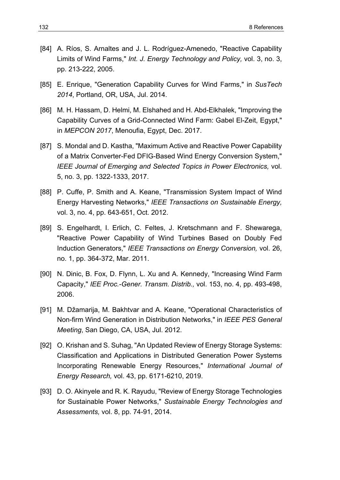- [84] A. Ríos, S. Arnaltes and J. L. Rodríguez-Amenedo, "Reactive Capability Limits of Wind Farms," *Int. J. Energy Technology and Policy,* vol. 3, no. 3, pp. 213-222, 2005.
- [85] E. Enrique, "Generation Capability Curves for Wind Farms," in *SusTech 2014*, Portland, OR, USA, Jul. 2014.
- [86] M. H. Hassam, D. Helmi, M. Elshahed and H. Abd-Elkhalek, "Improving the Capability Curves of a Grid-Connected Wind Farm: Gabel El-Zeit, Egypt," in *MEPCON 2017*, Menoufia, Egypt, Dec. 2017.
- [87] S. Mondal and D. Kastha, "Maximum Active and Reactive Power Capability of a Matrix Converter-Fed DFIG-Based Wind Energy Conversion System," *IEEE Journal of Emerging and Selected Topics in Power Electronics,* vol. 5, no. 3, pp. 1322-1333, 2017.
- [88] P. Cuffe, P. Smith and A. Keane, "Transmission System Impact of Wind Energy Harvesting Networks," *IEEE Transactions on Sustainable Energy,*  vol. 3, no. 4, pp. 643-651, Oct. 2012.
- [89] S. Engelhardt, I. Erlich, C. Feltes, J. Kretschmann and F. Shewarega, "Reactive Power Capability of Wind Turbines Based on Doubly Fed Induction Generators," *IEEE Transactions on Energy Conversion,* vol. 26, no. 1, pp. 364-372, Mar. 2011.
- [90] N. Dinic, B. Fox, D. Flynn, L. Xu and A. Kennedy, "Increasing Wind Farm Capacity," *IEE Proc.-Gener. Transm. Distrib.,* vol. 153, no. 4, pp. 493-498, 2006.
- [91] M. Džamarija, M. Bakhtvar and A. Keane, "Operational Characteristics of Non-firm Wind Generation in Distribution Networks," in *IEEE PES General Meeting*, San Diego, CA, USA, Jul. 2012.
- [92] O. Krishan and S. Suhag, "An Updated Review of Energy Storage Systems: Classification and Applications in Distributed Generation Power Systems Incorporating Renewable Energy Resources," *International Journal of Energy Research,* vol. 43, pp. 6171-6210, 2019.
- [93] D. O. Akinyele and R. K. Rayudu, "Review of Energy Storage Technologies for Sustainable Power Networks," *Sustainable Energy Technologies and Assessments,* vol. 8, pp. 74-91, 2014.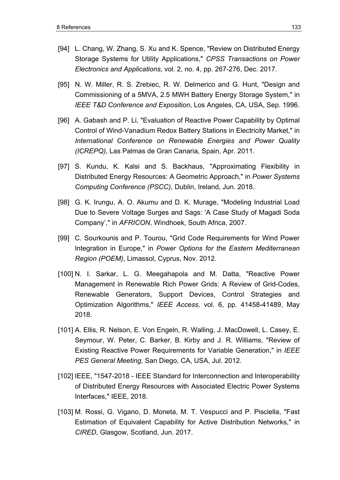- [94] L. Chang, W. Zhang, S. Xu and K. Spence, "Review on Distributed Energy Storage Systems for Utility Applications," *CPSS Transactions on Power Electronics and Applications,* vol. 2, no. 4, pp. 267-276, Dec. 2017.
- [95] N. W. Miller, R. S. Zrebiec, R. W. Delmerico and G. Hunt, "Design and Commissioning of a 5MVA, 2.5 MWH Battery Energy Storage System," in *IEEE T&D Conference and Exposition*, Los Angeles, CA, USA, Sep. 1996.
- [96] A. Gabash and P. Li, "Evaluation of Reactive Power Capability by Optimal Control of Wind-Vanadium Redox Battery Stations in Electricity Market," in *International Conference on Renewable Energies and Power Quality (ICREPQ)*, Las Palmas de Gran Canaria, Spain, Apr. 2011.
- [97] S. Kundu, K. Kalsi and S. Backhaus, "Approximating Flexibility in Distributed Energy Resources: A Geometric Approach," in *Power Systems Computing Conference (PSCC)*, Dublin, Ireland, Jun. 2018.
- [98] G. K. Irungu, A. O. Akumu and D. K. Murage, "Modeling Industrial Load Due to Severe Voltage Surges and Sags: 'A Case Study of Magadi Soda Company'," in *AFRICON*, Windhoek, South Africa, 2007.
- [99] C. Sourkounis and P. Tourou, "Grid Code Requirements for Wind Power Integration in Europe," in *Power Options for the Eastern Mediterranean Region (POEM)*, Limassol, Cyprus, Nov. 2012.
- [100] N. I. Sarkar, L. G. Meegahapola and M. Datta, "Reactive Power Management in Renewable Rich Power Grids: A Review of Grid-Codes, Renewable Generators, Support Devices, Control Strategies and Optimization Algorithms," *IEEE Access,* vol. 6, pp. 41458-41489, May 2018.
- [101] A. Ellis, R. Nelson, E. Von Engeln, R. Walling, J. MacDowell, L. Casey, E. Seymour, W. Peter, C. Barker, B. Kirby and J. R. Williams, "Review of Existing Reactive Power Requirements for Variable Generation," in *IEEE PES General Meeting*, San Diego, CA, USA, Jul. 2012.
- [102] IEEE, "1547-2018 IEEE Standard for Interconnection and Interoperability of Distributed Energy Resources with Associated Electric Power Systems Interfaces," IEEE, 2018.
- [103] M. Rossi, G. Vigano, D. Moneta, M. T. Vespucci and P. Pisciella, "Fast Estimation of Equivalent Capability for Active Distribution Networks," in *CIRED*, Glasgow, Scotland, Jun. 2017.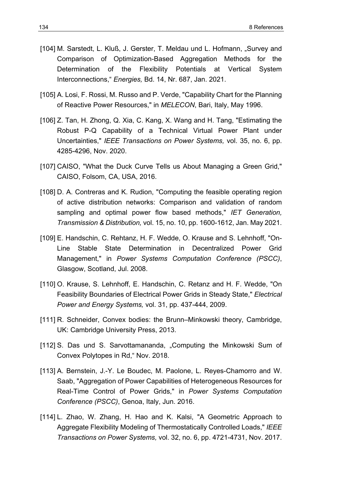- [104] M. Sarstedt, L. Kluß, J. Gerster, T. Meldau und L. Hofmann, "Survey and Comparison of Optimization-Based Aggregation Methods for the Determination of the Flexibility Potentials at Vertical System Interconnections," *Energies,* Bd. 14, Nr. 687, Jan. 2021.
- [105] A. Losi, F. Rossi, M. Russo and P. Verde, "Capability Chart for the Planning of Reactive Power Resources," in *MELECON*, Bari, Italy, May 1996.
- [106] Z. Tan, H. Zhong, Q. Xia, C. Kang, X. Wang and H. Tang, "Estimating the Robust P-Q Capability of a Technical Virtual Power Plant under Uncertainties," *IEEE Transactions on Power Systems,* vol. 35, no. 6, pp. 4285-4296, Nov. 2020.
- [107] CAISO, "What the Duck Curve Tells us About Managing a Green Grid," CAISO, Folsom, CA, USA, 2016.
- [108] D. A. Contreras and K. Rudion, "Computing the feasible operating region of active distribution networks: Comparison and validation of random sampling and optimal power flow based methods," *IET Generation, Transmission & Distribution,* vol. 15, no. 10, pp. 1600-1612, Jan. May 2021.
- [109] E. Handschin, C. Rehtanz, H. F. Wedde, O. Krause and S. Lehnhoff, "On-Line Stable State Determination in Decentralized Power Grid Management," in *Power Systems Computation Conference (PSCC)*, Glasgow, Scotland, Jul. 2008.
- [110] O. Krause, S. Lehnhoff, E. Handschin, C. Retanz and H. F. Wedde, "On Feasibility Boundaries of Electrical Power Grids in Steady State," *Electrical Power and Energy Systems,* vol. 31, pp. 437-444, 2009.
- [111] R. Schneider, Convex bodies: the Brunn–Minkowski theory, Cambridge, UK: Cambridge University Press, 2013.
- [112] S. Das und S. Sarvottamananda, "Computing the Minkowski Sum of Convex Polytopes in Rd," Nov. 2018.
- [113] A. Bernstein, J.-Y. Le Boudec, M. Paolone, L. Reyes-Chamorro and W. Saab, "Aggregation of Power Capabilities of Heterogeneous Resources for Real-Time Control of Power Grids," in *Power Systems Computation Conference (PSCC)*, Genoa, Italy, Jun. 2016.
- [114] L. Zhao, W. Zhang, H. Hao and K. Kalsi, "A Geometric Approach to Aggregate Flexibility Modeling of Thermostatically Controlled Loads," *IEEE Transactions on Power Systems,* vol. 32, no. 6, pp. 4721-4731, Nov. 2017.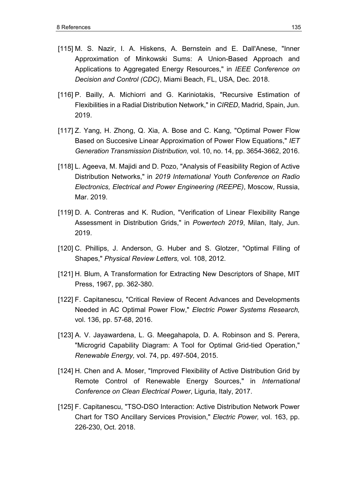- [115] M. S. Nazir, I. A. Hiskens, A. Bernstein and E. Dall'Anese, "Inner Approximation of Minkowski Sums: A Union-Based Approach and Applications to Aggregated Energy Resources," in *IEEE Conference on Decision and Control (CDC)*, Miami Beach, FL, USA, Dec. 2018.
- [116] P. Bailly, A. Michiorri and G. Kariniotakis, "Recursive Estimation of Flexibilities in a Radial Distribution Network," in *CIRED*, Madrid, Spain, Jun. 2019.
- [117] Z. Yang, H. Zhong, Q. Xia, A. Bose and C. Kang, "Optimal Power Flow Based on Succesive Linear Approximation of Power Flow Equations," *IET Generation Transmission Distribution,* vol. 10, no. 14, pp. 3654-3662, 2016.
- [118] L. Ageeva, M. Majidi and D. Pozo, "Analysis of Feasibility Region of Active Distribution Networks," in *2019 International Youth Conference on Radio Electronics, Electrical and Power Engineering (REEPE)*, Moscow, Russia, Mar. 2019.
- [119] D. A. Contreras and K. Rudion, "Verification of Linear Flexibility Range Assessment in Distribution Grids," in *Powertech 2019*, Milan, Italy, Jun. 2019.
- [120] C. Phillips, J. Anderson, G. Huber and S. Glotzer, "Optimal Filling of Shapes," *Physical Review Letters,* vol. 108, 2012.
- [121] H. Blum, A Transformation for Extracting New Descriptors of Shape, MIT Press, 1967, pp. 362-380.
- [122] F. Capitanescu, "Critical Review of Recent Advances and Developments Needed in AC Optimal Power Flow," *Electric Power Systems Research,*  vol. 136, pp. 57-68, 2016.
- [123] A. V. Jayawardena, L. G. Meegahapola, D. A. Robinson and S. Perera, "Microgrid Capability Diagram: A Tool for Optimal Grid-tied Operation," *Renewable Energy,* vol. 74, pp. 497-504, 2015.
- [124] H. Chen and A. Moser, "Improved Flexibility of Active Distribution Grid by Remote Control of Renewable Energy Sources," in *International Conference on Clean Electrical Power*, Liguria, Italy, 2017.
- [125] F. Capitanescu, "TSO-DSO Interaction: Active Distribution Network Power Chart for TSO Ancillary Services Provision," *Electric Power,* vol. 163, pp. 226-230, Oct. 2018.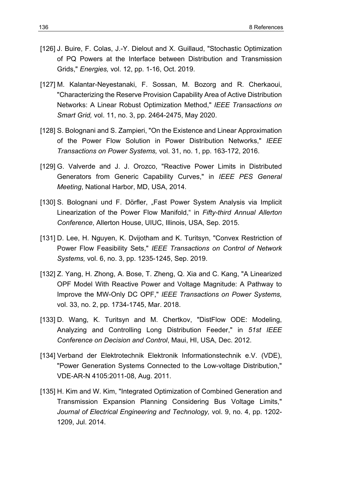- [126] J. Buire, F. Colas, J.-Y. Dielout and X. Guillaud, "Stochastic Optimization of PQ Powers at the Interface between Distribution and Transmission Grids," *Energies,* vol. 12, pp. 1-16, Oct. 2019.
- [127] M. Kalantar-Neyestanaki, F. Sossan, M. Bozorg and R. Cherkaoui, "Characterizing the Reserve Provision Capability Area of Active Distribution Networks: A Linear Robust Optimization Method," *IEEE Transactions on Smart Grid,* vol. 11, no. 3, pp. 2464-2475, May 2020.
- [128] S. Bolognani and S. Zampieri, "On the Existence and Linear Approximation of the Power Flow Solution in Power Distribution Networks," *IEEE Transactions on Power Systems,* vol. 31, no. 1, pp. 163-172, 2016.
- [129] G. Valverde and J. J. Orozco, "Reactive Power Limits in Distributed Generators from Generic Capability Curves," in *IEEE PES General Meeting*, National Harbor, MD, USA, 2014.
- [130] S. Bolognani und F. Dörfler, "Fast Power System Analysis via Implicit Linearization of the Power Flow Manifold," in *Fifty-third Annual Allerton Conference*, Allerton House, UIUC, Illinois, USA, Sep. 2015.
- [131] D. Lee, H. Nguyen, K. Dvijotham and K. Turitsyn, "Convex Restriction of Power Flow Feasibility Sets," *IEEE Transactions on Control of Network Systems,* vol. 6, no. 3, pp. 1235-1245, Sep. 2019.
- [132] Z. Yang, H. Zhong, A. Bose, T. Zheng, Q. Xia and C. Kang, "A Linearized OPF Model With Reactive Power and Voltage Magnitude: A Pathway to Improve the MW-Only DC OPF," *IEEE Transactions on Power Systems,*  vol. 33, no. 2, pp. 1734-1745, Mar. 2018.
- [133] D. Wang, K. Turitsyn and M. Chertkov, "DistFlow ODE: Modeling, Analyzing and Controlling Long Distribution Feeder," in *51st IEEE Conference on Decision and Control*, Maui, HI, USA, Dec. 2012.
- [134] Verband der Elektrotechnik Elektronik Informationstechnik e.V. (VDE), "Power Generation Systems Connected to the Low-voltage Distribution," VDE-AR-N 4105:2011-08, Aug. 2011.
- [135] H. Kim and W. Kim, "Integrated Optimization of Combined Generation and Transmission Expansion Planning Considering Bus Voltage Limits," *Journal of Electrical Engineering and Technology,* vol. 9, no. 4, pp. 1202- 1209, Jul. 2014.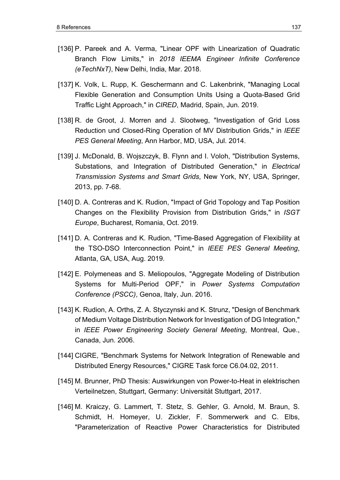- [136] P. Pareek and A. Verma, "Linear OPF with Linearization of Quadratic Branch Flow Limits," in *2018 IEEMA Engineer Infinite Conference (eTechNxT)*, New Delhi, India, Mar. 2018.
- [137] K. Volk, L. Rupp, K. Geschermann and C. Lakenbrink, "Managing Local Flexible Generation and Consumption Units Using a Quota-Based Grid Traffic Light Approach," in *CIRED*, Madrid, Spain, Jun. 2019.
- [138] R. de Groot, J. Morren and J. Slootweg, "Investigation of Grid Loss Reduction und Closed-Ring Operation of MV Distribution Grids," in *IEEE PES General Meeting*, Ann Harbor, MD, USA, Jul. 2014.
- [139] J. McDonald, B. Wojszczyk, B. Flynn and I. Voloh, "Distribution Systems, Substations, and Integration of Distributed Generation," in *Electrical Transmission Systems and Smart Grids*, New York, NY, USA, Springer, 2013, pp. 7-68.
- [140] D. A. Contreras and K. Rudion, "Impact of Grid Topology and Tap Position Changes on the Flexibility Provision from Distribution Grids," in *ISGT Europe*, Bucharest, Romania, Oct. 2019.
- [141] D. A. Contreras and K. Rudion, "Time-Based Aggregation of Flexibility at the TSO-DSO Interconnection Point," in *IEEE PES General Meeting*, Atlanta, GA, USA, Aug. 2019.
- [142] E. Polymeneas and S. Meliopoulos, "Aggregate Modeling of Distribution Systems for Multi-Period OPF," in *Power Systems Computation Conference (PSCC)*, Genoa, Italy, Jun. 2016.
- [143] K. Rudion, A. Orths, Z. A. Styczynski and K. Strunz, "Design of Benchmark of Medium Voltage Distribution Network for Investigation of DG Integration," in *IEEE Power Engineering Society General Meeting*, Montreal, Que., Canada, Jun. 2006.
- [144] CIGRE, "Benchmark Systems for Network Integration of Renewable and Distributed Energy Resources," CIGRE Task force C6.04.02, 2011.
- [145] M. Brunner, PhD Thesis: Auswirkungen von Power-to-Heat in elektrischen Verteilnetzen, Stuttgart, Germany: Universität Stuttgart, 2017.
- [146] M. Kraiczy, G. Lammert, T. Stetz, S. Gehler, G. Arnold, M. Braun, S. Schmidt, H. Homeyer, U. Zickler, F. Sommerwerk and C. Elbs, "Parameterization of Reactive Power Characteristics for Distributed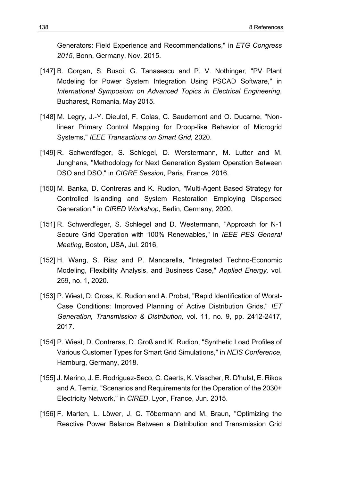Generators: Field Experience and Recommendations," in *ETG Congress 2015*, Bonn, Germany, Nov. 2015.

- [147] B. Gorgan, S. Busoi, G. Tanasescu and P. V. Nothinger, "PV Plant Modeling for Power System Integration Using PSCAD Software," in *International Symposium on Advanced Topics in Electrical Engineering*, Bucharest, Romania, May 2015.
- [148] M. Legry, J.-Y. Dieulot, F. Colas, C. Saudemont and O. Ducarne, "Nonlinear Primary Control Mapping for Droop-like Behavior of Microgrid Systems," *IEEE Transactions on Smart Grid,* 2020.
- [149] R. Schwerdfeger, S. Schlegel, D. Werstermann, M. Lutter and M. Junghans, "Methodology for Next Generation System Operation Between DSO and DSO," in *CIGRE Session*, Paris, France, 2016.
- [150] M. Banka, D. Contreras and K. Rudion, "Multi-Agent Based Strategy for Controlled Islanding and System Restoration Employing Dispersed Generation," in *CIRED Workshop*, Berlin, Germany, 2020.
- [151] R. Schwerdfeger, S. Schlegel and D. Westermann, "Approach for N-1 Secure Grid Operation with 100% Renewables," in *IEEE PES General Meeting*, Boston, USA, Jul. 2016.
- [152] H. Wang, S. Riaz and P. Mancarella, "Integrated Techno-Economic Modeling, Flexibility Analysis, and Business Case," *Applied Energy,* vol. 259, no. 1, 2020.
- [153] P. Wiest, D. Gross, K. Rudion and A. Probst, "Rapid Identification of Worst-Case Conditions: Improved Planning of Active Distribution Grids," *IET Generation, Transmission & Distribution,* vol. 11, no. 9, pp. 2412-2417, 2017.
- [154] P. Wiest, D. Contreras, D. Groß and K. Rudion, "Synthetic Load Profiles of Various Customer Types for Smart Grid Simulations," in *NEIS Conference*, Hamburg, Germany, 2018.
- [155] J. Merino, J. E. Rodriguez-Seco, C. Caerts, K. Visscher, R. D'hulst, E. Rikos and A. Temiz, "Scenarios and Requirements for the Operation of the 2030+ Electricity Network," in *CIRED*, Lyon, France, Jun. 2015.
- [156] F. Marten, L. Löwer, J. C. Töbermann and M. Braun, "Optimizing the Reactive Power Balance Between a Distribution and Transmission Grid